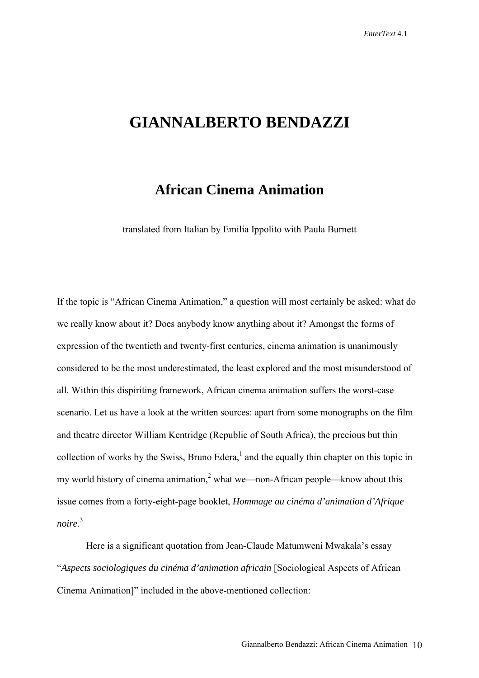## **GIANNALBERTO BENDAZZI**

## **African Cinema Animation**

translated from Italian by Emilia Ippolito with Paula Burnett

If the topic is "African Cinema Animation," a question will most certainly be asked: what do we really know about it? Does anybody know anything about it? Amongst the forms of expression of the twentieth and twenty-first centuries, cinema animation is unanimously considered to be the most underestimated, the least explored and the most misunderstood of all. Within this dispiriting framework, African cinema animation suffers the worst-case scenario. Let us have a look at the written sources: apart from some monographs on the film and theatre director William Kentridge (Republic of South Africa), the precious but thin collection of works by the Swiss, Bruno Edera, $<sup>1</sup>$  and the equally thin chapter on this topic in</sup> my world history of cinema animation,<sup>2</sup> what we—non-African people—know about this issue comes from a forty-eight-page booklet, *Hommage au cinéma d'animation d'Afrique noire.*<sup>3</sup>

Here is a significant quotation from Jean-Claude Matumweni Mwakala's essay ì*Aspects sociologiques du cinéma d'animation africain* [Sociological Aspects of African Cinema Animation]" included in the above-mentioned collection: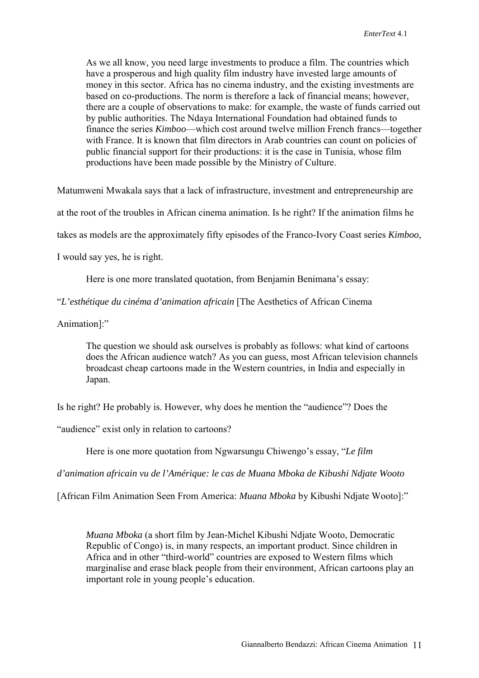As we all know, you need large investments to produce a film. The countries which have a prosperous and high quality film industry have invested large amounts of money in this sector. Africa has no cinema industry, and the existing investments are based on co-productions. The norm is therefore a lack of financial means; however, there are a couple of observations to make: for example, the waste of funds carried out by public authorities. The Ndaya International Foundation had obtained funds to finance the series *Kimboo*—which cost around twelve million French francs—together with France. It is known that film directors in Arab countries can count on policies of public financial support for their productions: it is the case in Tunisia, whose film productions have been made possible by the Ministry of Culture.

Matumweni Mwakala says that a lack of infrastructure, investment and entrepreneurship are

at the root of the troubles in African cinema animation. Is he right? If the animation films he

takes as models are the approximately fifty episodes of the Franco-Ivory Coast series *Kimboo*,

I would say yes, he is right.

Here is one more translated quotation, from Benjamin Benimana's essay:

ì*L'esthétique du cinéma d'animation africain* [The Aesthetics of African Cinema

Animation<sup>1</sup>."

The question we should ask ourselves is probably as follows: what kind of cartoons does the African audience watch? As you can guess, most African television channels broadcast cheap cartoons made in the Western countries, in India and especially in Japan.

Is he right? He probably is. However, why does he mention the "audience"? Does the

"audience" exist only in relation to cartoons?

Here is one more quotation from Ngwarsungu Chiwengo's essay, "Le film

*d'animation africain vu de l'Amérique: le cas de Muana Mboka de Kibushi Ndjate Wooto*

[African Film Animation Seen From America: *Muana Mboka* by Kibushi Ndjate Wooto]:î

*Muana Mboka* (a short film by Jean-Michel Kibushi Ndjate Wooto, Democratic Republic of Congo) is, in many respects, an important product. Since children in Africa and in other "third-world" countries are exposed to Western films which marginalise and erase black people from their environment, African cartoons play an important role in young people's education.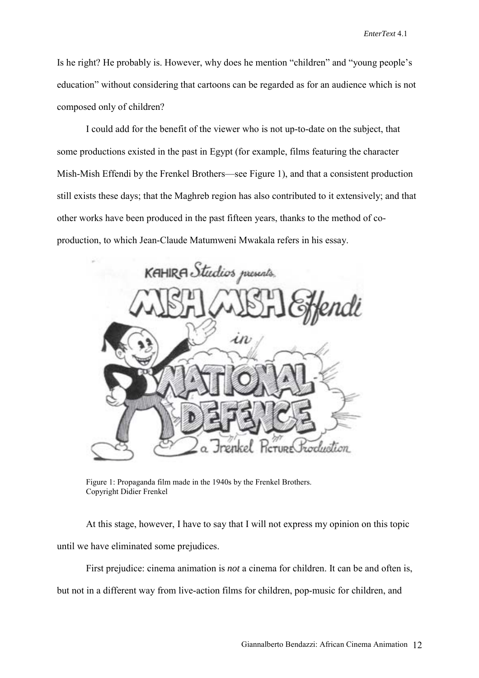Is he right? He probably is. However, why does he mention "children" and "young people's education" without considering that cartoons can be regarded as for an audience which is not composed only of children?

I could add for the benefit of the viewer who is not up-to-date on the subject, that some productions existed in the past in Egypt (for example, films featuring the character Mish-Mish Effendi by the Frenkel Brothers—see Figure 1), and that a consistent production still exists these days; that the Maghreb region has also contributed to it extensively; and that other works have been produced in the past fifteen years, thanks to the method of coproduction, to which Jean-Claude Matumweni Mwakala refers in his essay.



Figure 1: Propaganda film made in the 1940s by the Frenkel Brothers. Copyright Didier Frenkel

At this stage, however, I have to say that I will not express my opinion on this topic until we have eliminated some prejudices.

First prejudice: cinema animation is *not* a cinema for children. It can be and often is, but not in a different way from live-action films for children, pop-music for children, and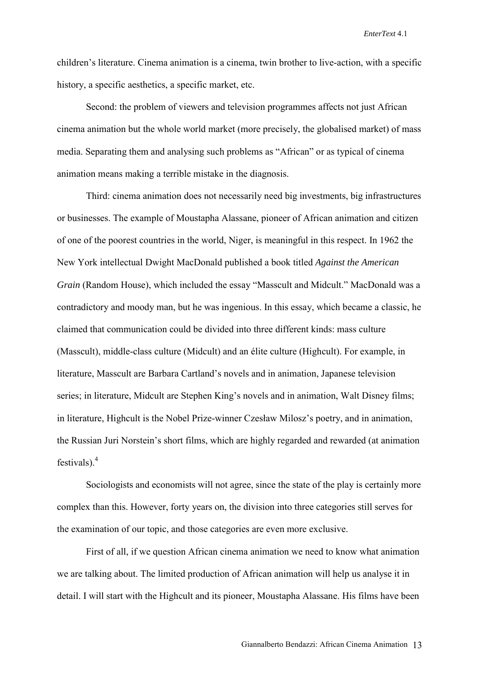children's literature. Cinema animation is a cinema, twin brother to live-action, with a specific history, a specific aesthetics, a specific market, etc.

Second: the problem of viewers and television programmes affects not just African cinema animation but the whole world market (more precisely, the globalised market) of mass media. Separating them and analysing such problems as "African" or as typical of cinema animation means making a terrible mistake in the diagnosis.

Third: cinema animation does not necessarily need big investments, big infrastructures or businesses. The example of Moustapha Alassane, pioneer of African animation and citizen of one of the poorest countries in the world, Niger, is meaningful in this respect. In 1962 the New York intellectual Dwight MacDonald published a book titled *Against the American Grain* (Random House), which included the essay "Masscult and Midcult." MacDonald was a contradictory and moody man, but he was ingenious. In this essay, which became a classic, he claimed that communication could be divided into three different kinds: mass culture (Masscult), middle-class culture (Midcult) and an Èlite culture (Highcult). For example, in literature, Masscult are Barbara Cartland's novels and in animation, Japanese television series; in literature, Midcult are Stephen King's novels and in animation, Walt Disney films; in literature, Highcult is the Nobel Prize-winner Czesław Milosz's poetry, and in animation, the Russian Juri Norsteinís short films, which are highly regarded and rewarded (at animation festivals). $<sup>4</sup>$ </sup>

Sociologists and economists will not agree, since the state of the play is certainly more complex than this. However, forty years on, the division into three categories still serves for the examination of our topic, and those categories are even more exclusive.

First of all, if we question African cinema animation we need to know what animation we are talking about. The limited production of African animation will help us analyse it in detail. I will start with the Highcult and its pioneer, Moustapha Alassane. His films have been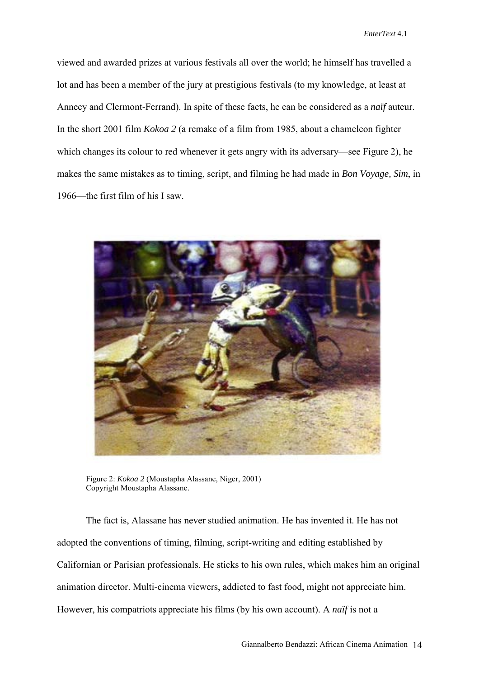viewed and awarded prizes at various festivals all over the world; he himself has travelled a lot and has been a member of the jury at prestigious festivals (to my knowledge, at least at Annecy and Clermont-Ferrand). In spite of these facts, he can be considered as a *naïf* auteur. In the short 2001 film *Kokoa 2* (a remake of a film from 1985, about a chameleon fighter which changes its colour to red whenever it gets angry with its adversary—see Figure 2), he makes the same mistakes as to timing, script, and filming he had made in *Bon Voyage, Sim*, in 1966—the first film of his I saw.



Figure 2: *Kokoa 2* (Moustapha Alassane, Niger, 2001) Copyright Moustapha Alassane.

The fact is, Alassane has never studied animation. He has invented it. He has not adopted the conventions of timing, filming, script-writing and editing established by Californian or Parisian professionals. He sticks to his own rules, which makes him an original animation director. Multi-cinema viewers, addicted to fast food, might not appreciate him. However, his compatriots appreciate his films (by his own account). A *naïf* is not a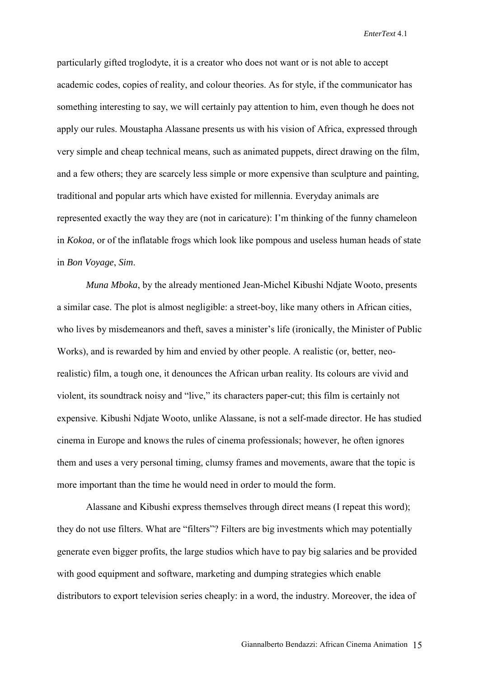particularly gifted troglodyte, it is a creator who does not want or is not able to accept academic codes, copies of reality, and colour theories. As for style, if the communicator has something interesting to say, we will certainly pay attention to him, even though he does not apply our rules. Moustapha Alassane presents us with his vision of Africa, expressed through very simple and cheap technical means, such as animated puppets, direct drawing on the film, and a few others; they are scarcely less simple or more expensive than sculpture and painting, traditional and popular arts which have existed for millennia. Everyday animals are represented exactly the way they are (not in caricature): I'm thinking of the funny chameleon in *Kokoa*, or of the inflatable frogs which look like pompous and useless human heads of state in *Bon Voyage*, *Sim*.

*Muna Mboka*, by the already mentioned Jean-Michel Kibushi Ndjate Wooto, presents a similar case. The plot is almost negligible: a street-boy, like many others in African cities, who lives by misdemeanors and theft, saves a minister's life (ironically, the Minister of Public Works), and is rewarded by him and envied by other people. A realistic (or, better, neorealistic) film, a tough one, it denounces the African urban reality. Its colours are vivid and violent, its soundtrack noisy and "live," its characters paper-cut; this film is certainly not expensive. Kibushi Ndjate Wooto, unlike Alassane, is not a self-made director. He has studied cinema in Europe and knows the rules of cinema professionals; however, he often ignores them and uses a very personal timing, clumsy frames and movements, aware that the topic is more important than the time he would need in order to mould the form.

Alassane and Kibushi express themselves through direct means (I repeat this word); they do not use filters. What are "filters"? Filters are big investments which may potentially generate even bigger profits, the large studios which have to pay big salaries and be provided with good equipment and software, marketing and dumping strategies which enable distributors to export television series cheaply: in a word, the industry. Moreover, the idea of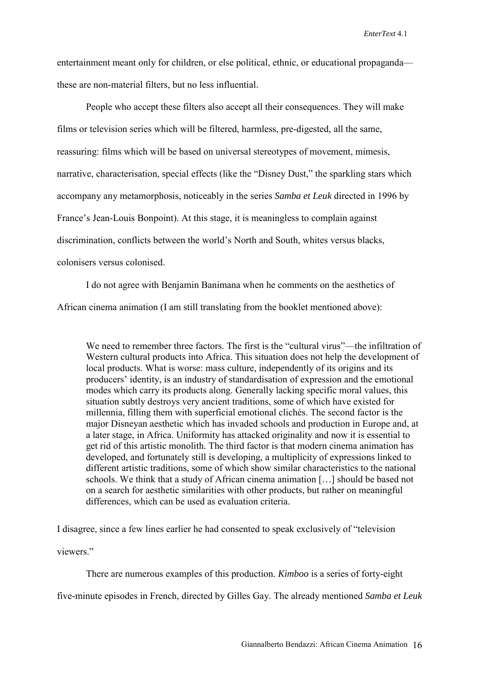entertainment meant only for children, or else political, ethnic, or educational propaganda these are non-material filters, but no less influential.

People who accept these filters also accept all their consequences. They will make films or television series which will be filtered, harmless, pre-digested, all the same, reassuring: films which will be based on universal stereotypes of movement, mimesis, narrative, characterisation, special effects (like the "Disney Dust," the sparkling stars which accompany any metamorphosis, noticeably in the series *Samba et Leuk* directed in 1996 by France's Jean-Louis Bonpoint). At this stage, it is meaningless to complain against discrimination, conflicts between the world's North and South, whites versus blacks, colonisers versus colonised.

I do not agree with Benjamin Banimana when he comments on the aesthetics of African cinema animation (I am still translating from the booklet mentioned above):

We need to remember three factors. The first is the "cultural virus"—the infiltration of Western cultural products into Africa. This situation does not help the development of local products. What is worse: mass culture, independently of its origins and its producers' identity, is an industry of standardisation of expression and the emotional modes which carry its products along. Generally lacking specific moral values, this situation subtly destroys very ancient traditions, some of which have existed for millennia, filling them with superficial emotional clichés. The second factor is the major Disneyan aesthetic which has invaded schools and production in Europe and, at a later stage, in Africa. Uniformity has attacked originality and now it is essential to get rid of this artistic monolith. The third factor is that modern cinema animation has developed, and fortunately still is developing, a multiplicity of expressions linked to different artistic traditions, some of which show similar characteristics to the national schools. We think that a study of African cinema animation  $[\dots]$  should be based not on a search for aesthetic similarities with other products, but rather on meaningful differences, which can be used as evaluation criteria.

I disagree, since a few lines earlier he had consented to speak exclusively of "television"

viewers."

There are numerous examples of this production. *Kimboo* is a series of forty-eight

five-minute episodes in French, directed by Gilles Gay. The already mentioned *Samba et Leuk*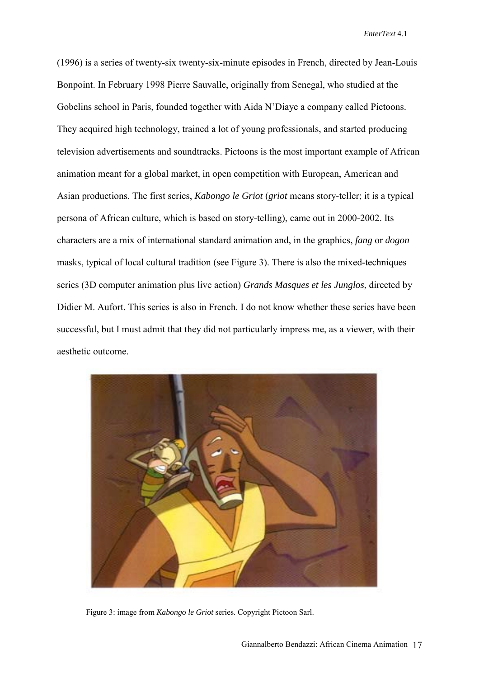(1996) is a series of twenty-six twenty-six-minute episodes in French, directed by Jean-Louis Bonpoint. In February 1998 Pierre Sauvalle, originally from Senegal, who studied at the Gobelins school in Paris, founded together with Aida N'Diaye a company called Pictoons. They acquired high technology, trained a lot of young professionals, and started producing television advertisements and soundtracks. Pictoons is the most important example of African animation meant for a global market, in open competition with European, American and Asian productions. The first series, *Kabongo le Griot* (*griot* means story-teller; it is a typical persona of African culture, which is based on story-telling), came out in 2000-2002. Its characters are a mix of international standard animation and, in the graphics, *fang* or *dogon* masks, typical of local cultural tradition (see Figure 3). There is also the mixed-techniques series (3D computer animation plus live action) *Grands Masques et les Junglos*, directed by Didier M. Aufort. This series is also in French. I do not know whether these series have been successful, but I must admit that they did not particularly impress me, as a viewer, with their aesthetic outcome.



Figure 3: image from *Kabongo le Griot* series. Copyright Pictoon Sarl.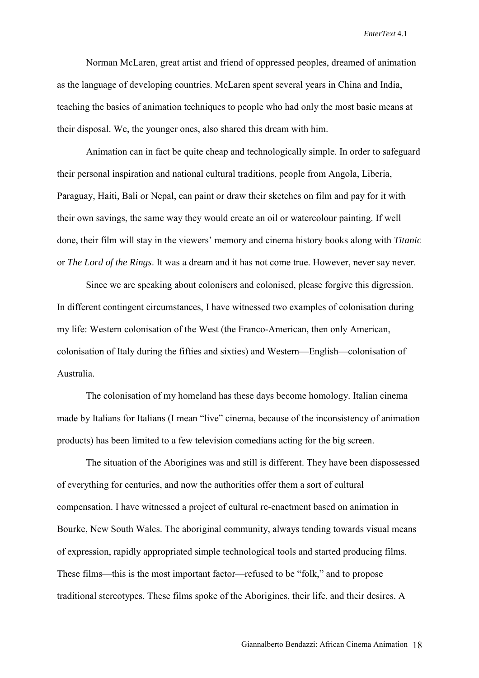Norman McLaren, great artist and friend of oppressed peoples, dreamed of animation as the language of developing countries. McLaren spent several years in China and India, teaching the basics of animation techniques to people who had only the most basic means at their disposal. We, the younger ones, also shared this dream with him.

Animation can in fact be quite cheap and technologically simple. In order to safeguard their personal inspiration and national cultural traditions, people from Angola, Liberia, Paraguay, Haiti, Bali or Nepal, can paint or draw their sketches on film and pay for it with their own savings, the same way they would create an oil or watercolour painting. If well done, their film will stay in the viewers' memory and cinema history books along with *Titanic* or *The Lord of the Rings*. It was a dream and it has not come true. However, never say never.

Since we are speaking about colonisers and colonised, please forgive this digression. In different contingent circumstances, I have witnessed two examples of colonisation during my life: Western colonisation of the West (the Franco-American, then only American, colonisation of Italy during the fifties and sixties) and Western—English—colonisation of Australia.

The colonisation of my homeland has these days become homology. Italian cinema made by Italians for Italians (I mean "live" cinema, because of the inconsistency of animation products) has been limited to a few television comedians acting for the big screen.

The situation of the Aborigines was and still is different. They have been dispossessed of everything for centuries, and now the authorities offer them a sort of cultural compensation. I have witnessed a project of cultural re-enactment based on animation in Bourke, New South Wales. The aboriginal community, always tending towards visual means of expression, rapidly appropriated simple technological tools and started producing films. These films—this is the most important factor—refused to be "folk," and to propose traditional stereotypes. These films spoke of the Aborigines, their life, and their desires. A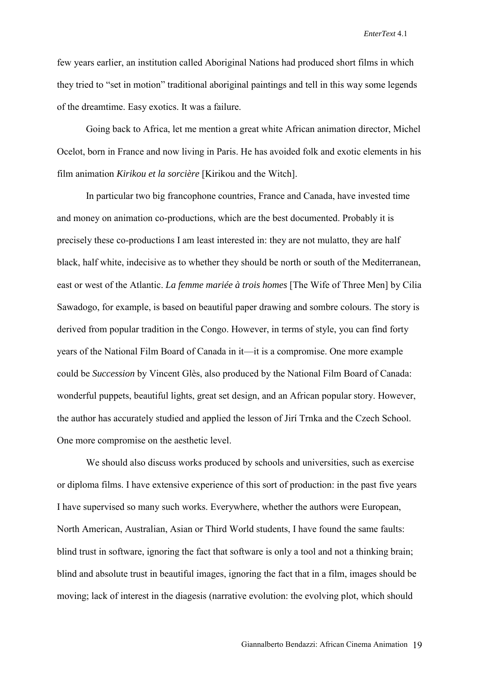few years earlier, an institution called Aboriginal Nations had produced short films in which they tried to "set in motion" traditional aboriginal paintings and tell in this way some legends of the dreamtime. Easy exotics. It was a failure.

Going back to Africa, let me mention a great white African animation director, Michel Ocelot, born in France and now living in Paris. He has avoided folk and exotic elements in his film animation *Kirikou et la sorcière* [Kirikou and the Witch].

In particular two big francophone countries, France and Canada, have invested time and money on animation co-productions, which are the best documented. Probably it is precisely these co-productions I am least interested in: they are not mulatto, they are half black, half white, indecisive as to whether they should be north or south of the Mediterranean, east or west of the Atlantic. *La femme mariée à trois homes* [The Wife of Three Men] by Cilia Sawadogo, for example, is based on beautiful paper drawing and sombre colours. The story is derived from popular tradition in the Congo. However, in terms of style, you can find forty years of the National Film Board of Canada in it—it is a compromise. One more example could be *Succession* by Vincent Glès, also produced by the National Film Board of Canada: wonderful puppets, beautiful lights, great set design, and an African popular story. However, the author has accurately studied and applied the lesson of Jirí Trnka and the Czech School. One more compromise on the aesthetic level.

We should also discuss works produced by schools and universities, such as exercise or diploma films. I have extensive experience of this sort of production: in the past five years I have supervised so many such works. Everywhere, whether the authors were European, North American, Australian, Asian or Third World students, I have found the same faults: blind trust in software, ignoring the fact that software is only a tool and not a thinking brain; blind and absolute trust in beautiful images, ignoring the fact that in a film, images should be moving; lack of interest in the diagesis (narrative evolution: the evolving plot, which should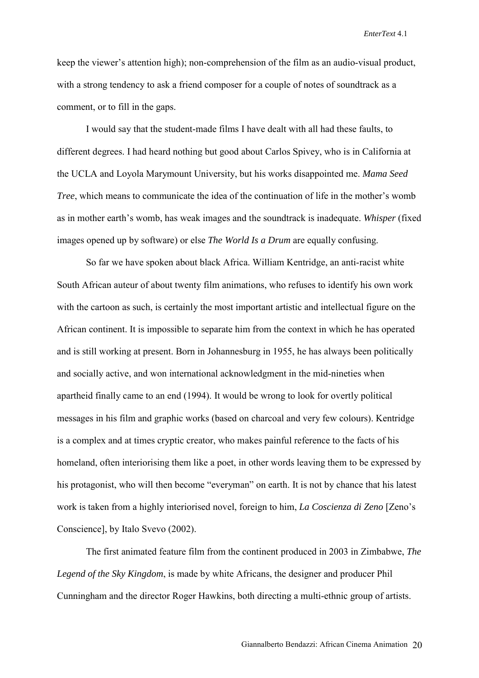keep the viewer's attention high); non-comprehension of the film as an audio-visual product, with a strong tendency to ask a friend composer for a couple of notes of soundtrack as a comment, or to fill in the gaps.

I would say that the student-made films I have dealt with all had these faults, to different degrees. I had heard nothing but good about Carlos Spivey, who is in California at the UCLA and Loyola Marymount University, but his works disappointed me. *Mama Seed Tree*, which means to communicate the idea of the continuation of life in the mother's womb as in mother earth's womb, has weak images and the soundtrack is inadequate. *Whisper* (fixed images opened up by software) or else *The World Is a Drum* are equally confusing.

So far we have spoken about black Africa. William Kentridge, an anti-racist white South African auteur of about twenty film animations, who refuses to identify his own work with the cartoon as such, is certainly the most important artistic and intellectual figure on the African continent. It is impossible to separate him from the context in which he has operated and is still working at present. Born in Johannesburg in 1955, he has always been politically and socially active, and won international acknowledgment in the mid-nineties when apartheid finally came to an end (1994). It would be wrong to look for overtly political messages in his film and graphic works (based on charcoal and very few colours). Kentridge is a complex and at times cryptic creator, who makes painful reference to the facts of his homeland, often interiorising them like a poet, in other words leaving them to be expressed by his protagonist, who will then become "everyman" on earth. It is not by chance that his latest work is taken from a highly interiorised novel, foreign to him, *La Coscienza di Zeno* [Zeno's Conscience], by Italo Svevo (2002).

The first animated feature film from the continent produced in 2003 in Zimbabwe, *The Legend of the Sky Kingdom*, is made by white Africans, the designer and producer Phil Cunningham and the director Roger Hawkins, both directing a multi-ethnic group of artists.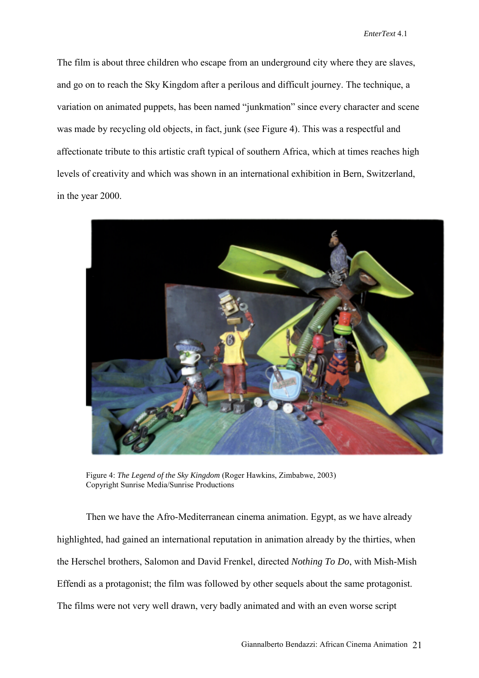The film is about three children who escape from an underground city where they are slaves, and go on to reach the Sky Kingdom after a perilous and difficult journey. The technique, a variation on animated puppets, has been named "junkmation" since every character and scene was made by recycling old objects, in fact, junk (see Figure 4). This was a respectful and affectionate tribute to this artistic craft typical of southern Africa, which at times reaches high levels of creativity and which was shown in an international exhibition in Bern, Switzerland, in the year 2000.



Figure 4: *The Legend of the Sky Kingdom* (Roger Hawkins, Zimbabwe, 2003) Copyright Sunrise Media/Sunrise Productions

Then we have the Afro-Mediterranean cinema animation. Egypt, as we have already highlighted, had gained an international reputation in animation already by the thirties, when the Herschel brothers, Salomon and David Frenkel, directed *Nothing To Do*, with Mish-Mish Effendi as a protagonist; the film was followed by other sequels about the same protagonist. The films were not very well drawn, very badly animated and with an even worse script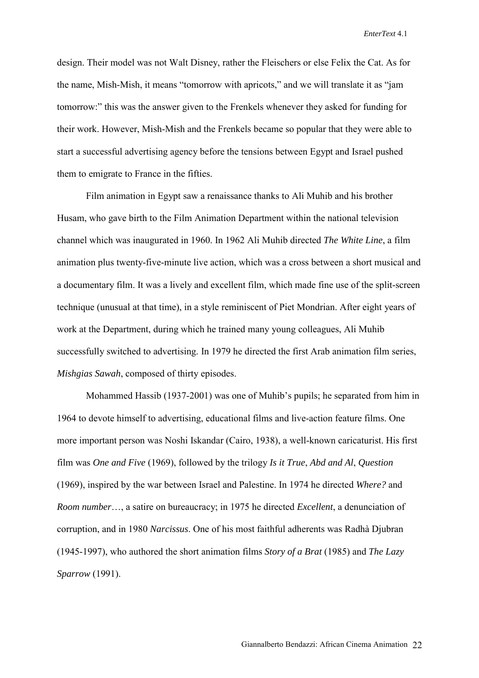design. Their model was not Walt Disney, rather the Fleischers or else Felix the Cat. As for the name, Mish-Mish, it means "tomorrow with apricots," and we will translate it as "jam tomorrow:" this was the answer given to the Frenkels whenever they asked for funding for their work. However, Mish-Mish and the Frenkels became so popular that they were able to start a successful advertising agency before the tensions between Egypt and Israel pushed them to emigrate to France in the fifties.

Film animation in Egypt saw a renaissance thanks to Ali Muhib and his brother Husam, who gave birth to the Film Animation Department within the national television channel which was inaugurated in 1960. In 1962 Ali Muhib directed *The White Line*, a film animation plus twenty-five-minute live action, which was a cross between a short musical and a documentary film. It was a lively and excellent film, which made fine use of the split-screen technique (unusual at that time), in a style reminiscent of Piet Mondrian. After eight years of work at the Department, during which he trained many young colleagues, Ali Muhib successfully switched to advertising. In 1979 he directed the first Arab animation film series, *Mishgias Sawah*, composed of thirty episodes.

Mohammed Hassib (1937-2001) was one of Muhib's pupils; he separated from him in 1964 to devote himself to advertising, educational films and live-action feature films. One more important person was Noshi Iskandar (Cairo, 1938), a well-known caricaturist. His first film was *One and Five* (1969), followed by the trilogy *Is it True*, *Abd and Al*, *Question*  (1969), inspired by the war between Israel and Palestine. In 1974 he directed *Where?* and *Room number*..., a satire on bureaucracy; in 1975 he directed *Excellent*, a denunciation of corruption, and in 1980 *Narcissus*. One of his most faithful adherents was Radhà Djubran (1945-1997), who authored the short animation films *Story of a Brat* (1985) and *The Lazy Sparrow* (1991).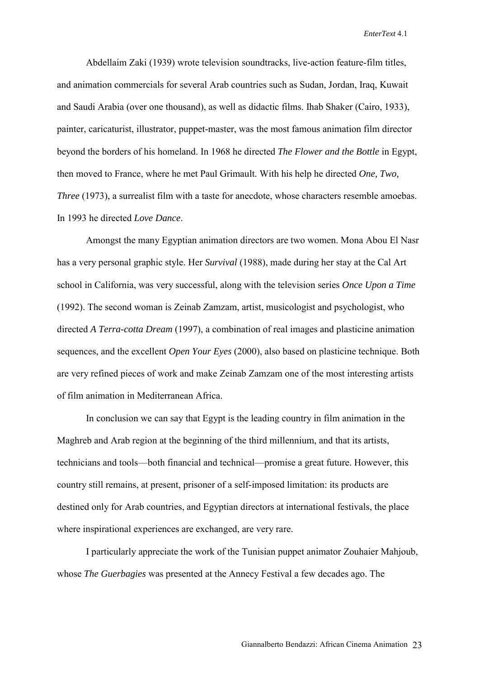Abdellaim Zaki (1939) wrote television soundtracks, live-action feature-film titles, and animation commercials for several Arab countries such as Sudan, Jordan, Iraq, Kuwait and Saudi Arabia (over one thousand), as well as didactic films. Ihab Shaker (Cairo, 1933), painter, caricaturist, illustrator, puppet-master, was the most famous animation film director beyond the borders of his homeland. In 1968 he directed *The Flower and the Bottle* in Egypt, then moved to France, where he met Paul Grimault. With his help he directed *One, Two, Three* (1973), a surrealist film with a taste for anecdote, whose characters resemble amoebas. In 1993 he directed *Love Dance*.

Amongst the many Egyptian animation directors are two women. Mona Abou El Nasr has a very personal graphic style. Her *Survival* (1988), made during her stay at the Cal Art school in California, was very successful, along with the television series *Once Upon a Time* (1992). The second woman is Zeinab Zamzam, artist, musicologist and psychologist, who directed *A Terra-cotta Dream* (1997), a combination of real images and plasticine animation sequences, and the excellent *Open Your Eyes* (2000), also based on plasticine technique. Both are very refined pieces of work and make Zeinab Zamzam one of the most interesting artists of film animation in Mediterranean Africa.

In conclusion we can say that Egypt is the leading country in film animation in the Maghreb and Arab region at the beginning of the third millennium, and that its artists, technicians and tools—both financial and technical—promise a great future. However, this country still remains, at present, prisoner of a self-imposed limitation: its products are destined only for Arab countries, and Egyptian directors at international festivals, the place where inspirational experiences are exchanged, are very rare.

I particularly appreciate the work of the Tunisian puppet animator Zouhaier Mahjoub, whose *The Guerbagies* was presented at the Annecy Festival a few decades ago. The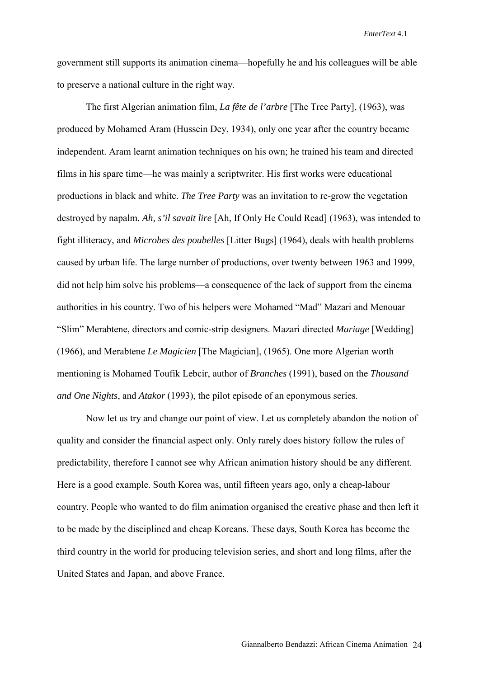government still supports its animation cinema—hopefully he and his colleagues will be able to preserve a national culture in the right way.

The first Algerian animation film, *La fête de l'arbre* [The Tree Party], (1963), was produced by Mohamed Aram (Hussein Dey, 1934), only one year after the country became independent. Aram learnt animation techniques on his own; he trained his team and directed films in his spare time—he was mainly a scriptwriter. His first works were educational productions in black and white. *The Tree Party* was an invitation to re-grow the vegetation destroyed by napalm. *Ah, s'il savait lire* [Ah, If Only He Could Read] (1963), was intended to fight illiteracy, and *Microbes des poubelles* [Litter Bugs] (1964), deals with health problems caused by urban life. The large number of productions, over twenty between 1963 and 1999, did not help him solve his problems—a consequence of the lack of support from the cinema authorities in his country. Two of his helpers were Mohamed "Mad" Mazari and Menouar ìSlimî Merabtene, directors and comic-strip designers. Mazari directed *Mariage* [Wedding] (1966), and Merabtene *Le Magicien* [The Magician], (1965). One more Algerian worth mentioning is Mohamed Toufik Lebcir, author of *Branches* (1991), based on the *Thousand and One Nights*, and *Atakor* (1993), the pilot episode of an eponymous series.

Now let us try and change our point of view. Let us completely abandon the notion of quality and consider the financial aspect only. Only rarely does history follow the rules of predictability, therefore I cannot see why African animation history should be any different. Here is a good example. South Korea was, until fifteen years ago, only a cheap-labour country. People who wanted to do film animation organised the creative phase and then left it to be made by the disciplined and cheap Koreans. These days, South Korea has become the third country in the world for producing television series, and short and long films, after the United States and Japan, and above France.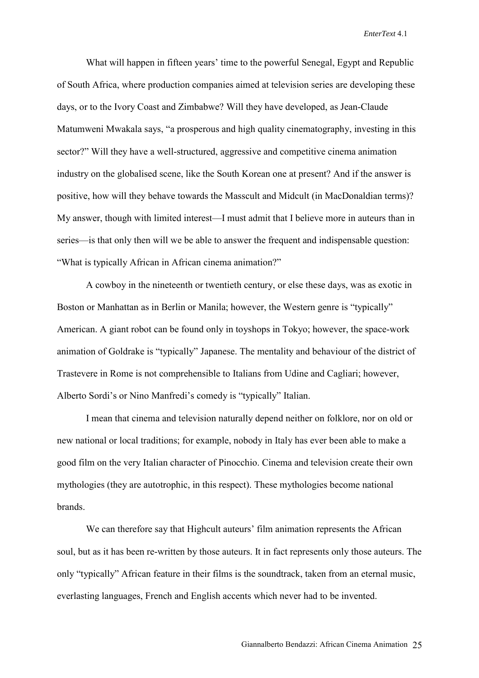What will happen in fifteen years' time to the powerful Senegal, Egypt and Republic of South Africa, where production companies aimed at television series are developing these days, or to the Ivory Coast and Zimbabwe? Will they have developed, as Jean-Claude Matumweni Mwakala says, "a prosperous and high quality cinematography, investing in this sector?î Will they have a well-structured, aggressive and competitive cinema animation industry on the globalised scene, like the South Korean one at present? And if the answer is positive, how will they behave towards the Masscult and Midcult (in MacDonaldian terms)? My answer, though with limited interest—I must admit that I believe more in auteurs than in series—is that only then will we be able to answer the frequent and indispensable question: "What is typically African in African cinema animation?"

A cowboy in the nineteenth or twentieth century, or else these days, was as exotic in Boston or Manhattan as in Berlin or Manila; however, the Western genre is "typically" American. A giant robot can be found only in toyshops in Tokyo; however, the space-work animation of Goldrake is "typically" Japanese. The mentality and behaviour of the district of Trastevere in Rome is not comprehensible to Italians from Udine and Cagliari; however, Alberto Sordi's or Nino Manfredi's comedy is "typically" Italian.

I mean that cinema and television naturally depend neither on folklore, nor on old or new national or local traditions; for example, nobody in Italy has ever been able to make a good film on the very Italian character of Pinocchio. Cinema and television create their own mythologies (they are autotrophic, in this respect). These mythologies become national brands.

We can therefore say that Highcult auteurs' film animation represents the African soul, but as it has been re-written by those auteurs. It in fact represents only those auteurs. The only "typically" African feature in their films is the soundtrack, taken from an eternal music, everlasting languages, French and English accents which never had to be invented.